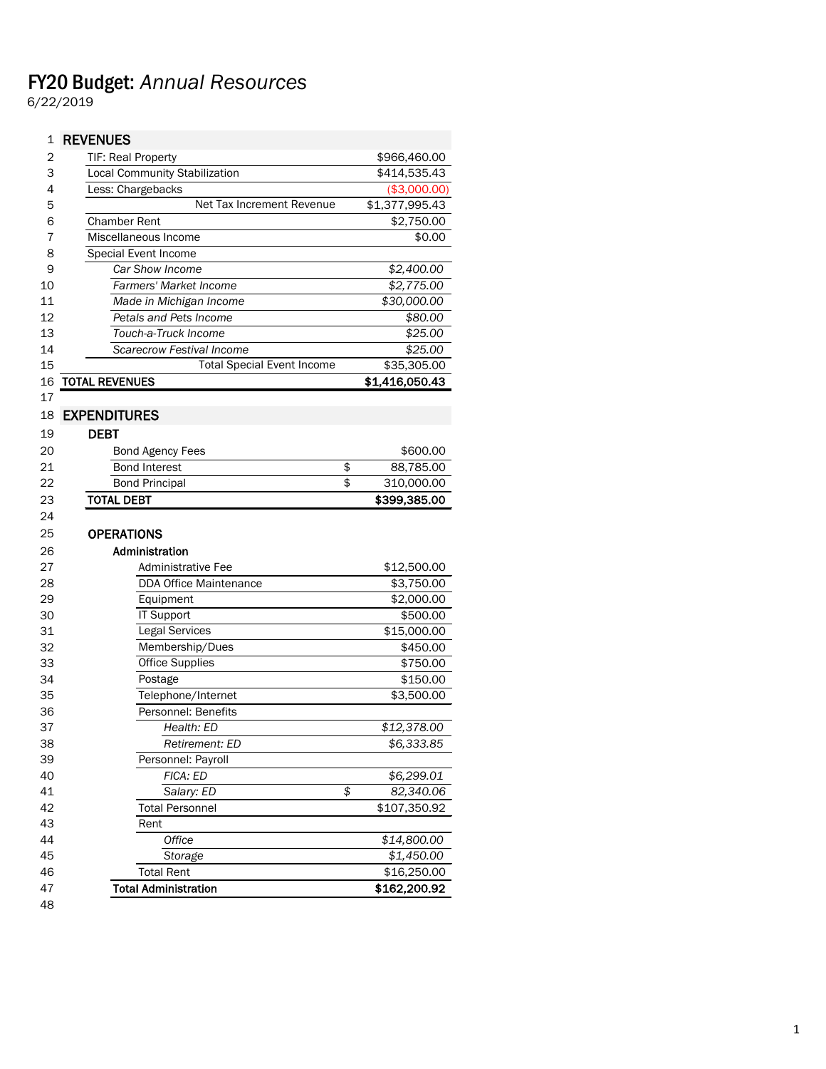## FY20 Budget: *Annual Resources*

6/22/2019

| 1  | <b>REVENUES</b>                      |                  |
|----|--------------------------------------|------------------|
| 2  | TIF: Real Property                   | \$966,460.00     |
| 3  | <b>Local Community Stabilization</b> | \$414,535.43     |
| 4  | Less: Chargebacks                    | (\$3,000.00)     |
| 5  | Net Tax Increment Revenue            | \$1,377,995.43   |
| 6  | <b>Chamber Rent</b>                  | \$2,750.00       |
| 7  | Miscellaneous Income                 | \$0.00           |
| 8  | Special Event Income                 |                  |
| 9  | Car Show Income                      | \$2,400.00       |
| 10 | <b>Farmers' Market Income</b>        | \$2,775.00       |
| 11 | Made in Michigan Income              | \$30,000.00      |
| 12 | Petals and Pets Income               | \$80.00          |
| 13 | Touch-a-Truck Income                 | \$25.00          |
| 14 | <b>Scarecrow Festival Income</b>     | \$25.00          |
| 15 | <b>Total Special Event Income</b>    | \$35,305.00      |
| 16 | <b>TOTAL REVENUES</b>                | \$1,416,050.43   |
| 17 |                                      |                  |
| 18 | <b>EXPENDITURES</b>                  |                  |
| 19 | <b>DEBT</b>                          |                  |
| 20 | <b>Bond Agency Fees</b>              | \$600.00         |
| 21 | <b>Bond Interest</b>                 | \$<br>88,785.00  |
| 22 | <b>Bond Principal</b>                | \$<br>310,000.00 |
| 23 | <b>TOTAL DEBT</b>                    | \$399,385.00     |
| 24 |                                      |                  |
|    |                                      |                  |
| 25 | <b>OPERATIONS</b>                    |                  |
| 26 | Administration                       |                  |
| 27 | <b>Administrative Fee</b>            | \$12,500.00      |
| 28 | <b>DDA Office Maintenance</b>        | \$3,750.00       |
| 29 | Equipment                            | \$2,000.00       |
| 30 | IT Support                           | \$500.00         |
| 31 | Legal Services                       | \$15,000.00      |
| 32 | Membership/Dues                      | \$450.00         |
| 33 | <b>Office Supplies</b>               | \$750.00         |
| 34 | Postage                              | \$150.00         |
| 35 | Telephone/Internet                   | \$3,500.00       |
| 36 | Personnel: Benefits                  |                  |
| 37 | Health: ED                           | \$12,378.00      |
| 38 | Retirement: ED                       | \$6,333.85       |
| 39 | Personnel: Payroll                   |                  |
| 40 | FICA: ED                             | \$6,299.01       |
| 41 | Salary: ED                           | \$<br>82,340.06  |
| 42 | <b>Total Personnel</b>               | \$107,350.92     |
| 43 | Rent                                 |                  |
| 44 | Office                               | \$14,800.00      |
| 45 | Storage                              | \$1,450.00       |
| 46 | <b>Total Rent</b>                    | \$16,250.00      |